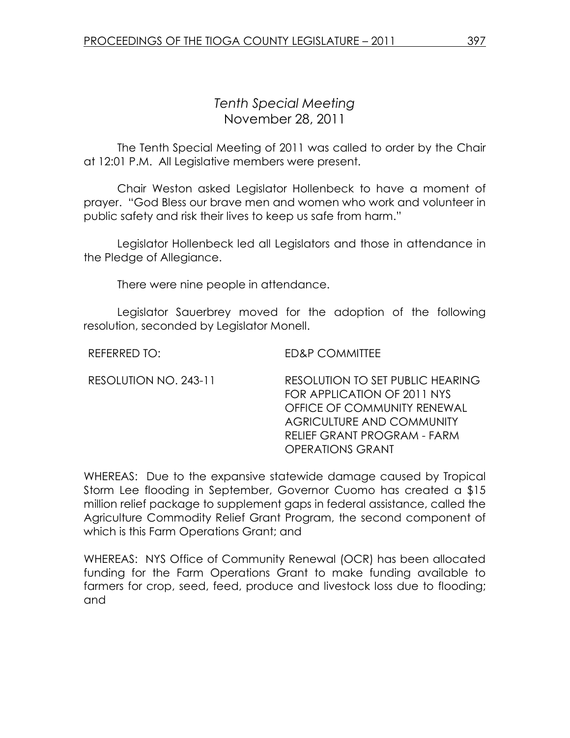## Tenth Special Meeting November 28, 2011

 The Tenth Special Meeting of 2011 was called to order by the Chair at 12:01 P.M. All Legislative members were present.

Chair Weston asked Legislator Hollenbeck to have a moment of prayer. "God Bless our brave men and women who work and volunteer in public safety and risk their lives to keep us safe from harm."

 Legislator Hollenbeck led all Legislators and those in attendance in the Pledge of Allegiance.

There were nine people in attendance.

 Legislator Sauerbrey moved for the adoption of the following resolution, seconded by Legislator Monell.

REFERRED TO: ED&P COMMITTEE

RESOLUTION NO. 243-11 RESOLUTION TO SET PUBLIC HEARING FOR APPLICATION OF 2011 NYS OFFICE OF COMMUNITY RENEWAL AGRICULTURE AND COMMUNITY RELIEF GRANT PROGRAM - FARM OPERATIONS GRANT

WHEREAS: Due to the expansive statewide damage caused by Tropical Storm Lee flooding in September, Governor Cuomo has created a \$15 million relief package to supplement gaps in federal assistance, called the Agriculture Commodity Relief Grant Program, the second component of which is this Farm Operations Grant; and

WHEREAS: NYS Office of Community Renewal (OCR) has been allocated funding for the Farm Operations Grant to make funding available to farmers for crop, seed, feed, produce and livestock loss due to flooding; and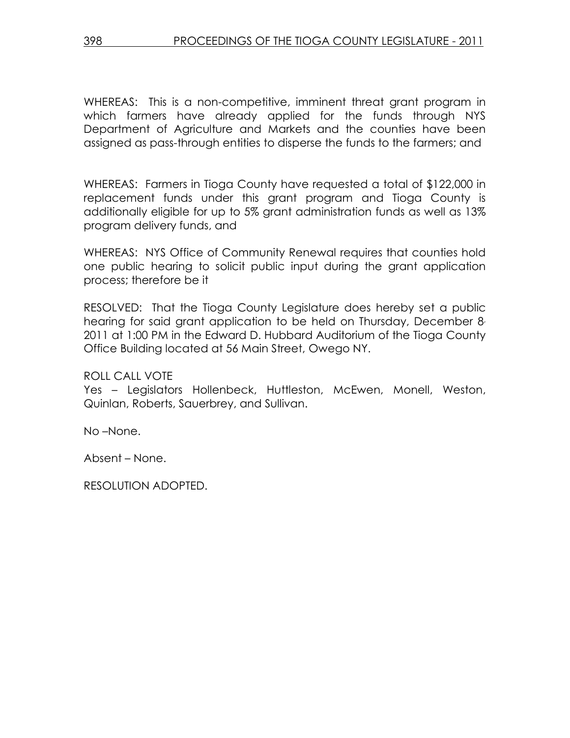WHEREAS: This is a non-competitive, imminent threat grant program in which farmers have already applied for the funds through NYS Department of Agriculture and Markets and the counties have been assigned as pass-through entities to disperse the funds to the farmers; and

WHEREAS: Farmers in Tioga County have requested a total of \$122,000 in replacement funds under this grant program and Tioga County is additionally eligible for up to 5% grant administration funds as well as 13% program delivery funds, and

WHEREAS: NYS Office of Community Renewal requires that counties hold one public hearing to solicit public input during the grant application process; therefore be it

RESOLVED: That the Tioga County Legislature does hereby set a public hearing for said grant application to be held on Thursday, December 8, 2011 at 1:00 PM in the Edward D. Hubbard Auditorium of the Tioga County Office Building located at 56 Main Street, Owego NY.

ROLL CALL VOTE

Yes – Legislators Hollenbeck, Huttleston, McEwen, Monell, Weston, Quinlan, Roberts, Sauerbrey, and Sullivan.

No –None.

Absent – None.

RESOLUTION ADOPTED.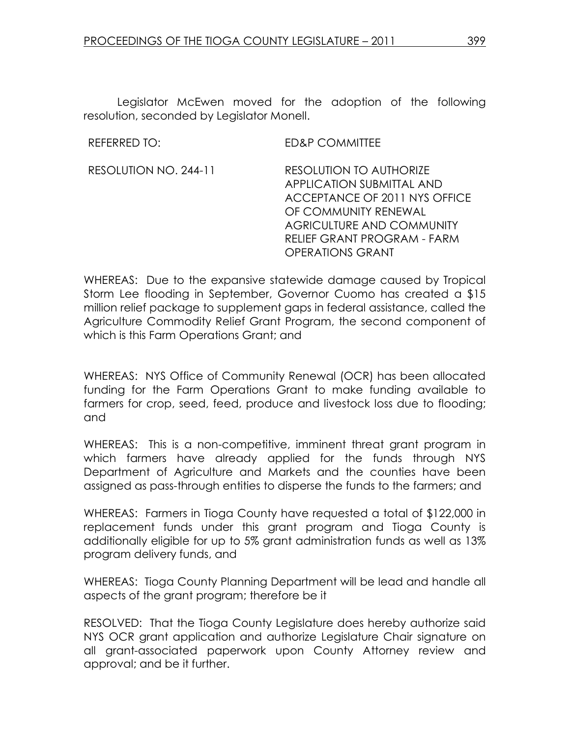Legislator McEwen moved for the adoption of the following resolution, seconded by Legislator Monell.

REFERRED TO: ED&P COMMITTEE

RESOLUTION NO. 244-11 RESOLUTION TO AUTHORIZE APPLICATION SUBMITTAL AND ACCEPTANCE OF 2011 NYS OFFICE OF COMMUNITY RENEWAL AGRICULTURE AND COMMUNITY RELIEF GRANT PROGRAM - FARM OPERATIONS GRANT

WHEREAS: Due to the expansive statewide damage caused by Tropical Storm Lee flooding in September, Governor Cuomo has created a \$15 million relief package to supplement gaps in federal assistance, called the Agriculture Commodity Relief Grant Program, the second component of which is this Farm Operations Grant; and

WHEREAS: NYS Office of Community Renewal (OCR) has been allocated funding for the Farm Operations Grant to make funding available to farmers for crop, seed, feed, produce and livestock loss due to flooding; and

WHEREAS: This is a non-competitive, imminent threat grant program in which farmers have already applied for the funds through NYS Department of Agriculture and Markets and the counties have been assigned as pass-through entities to disperse the funds to the farmers; and

WHEREAS: Farmers in Tioga County have requested a total of \$122,000 in replacement funds under this grant program and Tioga County is additionally eligible for up to 5% grant administration funds as well as 13% program delivery funds, and

WHEREAS: Tioga County Planning Department will be lead and handle all aspects of the grant program; therefore be it

RESOLVED: That the Tioga County Legislature does hereby authorize said NYS OCR grant application and authorize Legislature Chair signature on all grant-associated paperwork upon County Attorney review and approval; and be it further.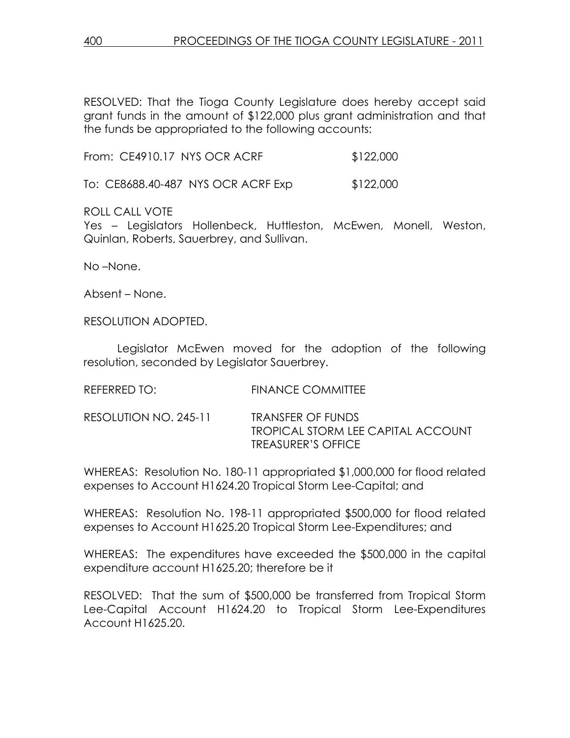RESOLVED: That the Tioga County Legislature does hereby accept said grant funds in the amount of \$122,000 plus grant administration and that the funds be appropriated to the following accounts:

From: CE4910.17 NYS OCR ACRF \$122,000

To: CE8688.40-487 NYS OCR ACRF Exp \$122,000

ROLL CALL VOTE

Yes – Legislators Hollenbeck, Huttleston, McEwen, Monell, Weston, Quinlan, Roberts, Sauerbrey, and Sullivan.

No –None.

Absent – None.

RESOLUTION ADOPTED.

 Legislator McEwen moved for the adoption of the following resolution, seconded by Legislator Sauerbrey.

| <b>FINANCE COMMITTEE</b> |
|--------------------------|
|                          |

RESOLUTION NO. 245-11 TRANSFER OF FUNDS TROPICAL STORM LEE CAPITAL ACCOUNT TREASURER'S OFFICE

WHEREAS: Resolution No. 180-11 appropriated \$1,000,000 for flood related expenses to Account H1624.20 Tropical Storm Lee-Capital; and

WHEREAS: Resolution No. 198-11 appropriated \$500,000 for flood related expenses to Account H1625.20 Tropical Storm Lee-Expenditures; and

WHEREAS: The expenditures have exceeded the \$500,000 in the capital expenditure account H1625.20; therefore be it

RESOLVED: That the sum of \$500,000 be transferred from Tropical Storm Lee-Capital Account H1624.20 to Tropical Storm Lee-Expenditures Account H1625.20.